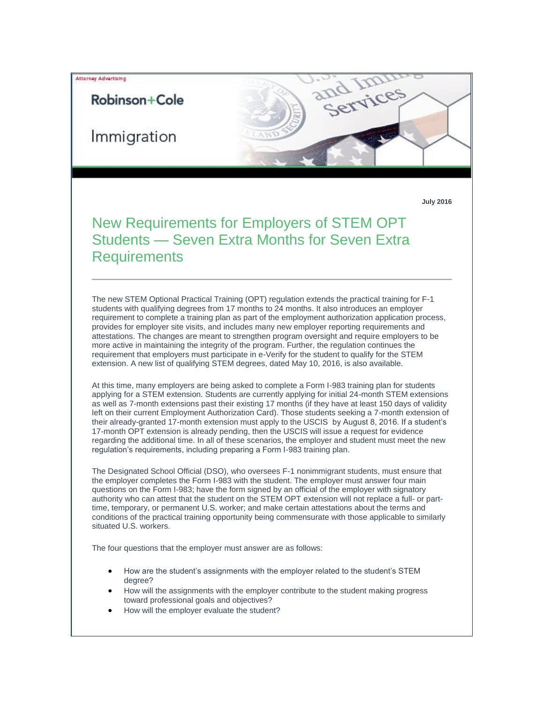## Attorney Advertising

## Robinson+Cole

Immigration

**July 2016**

d Hces

## New Requirements for Employers of STEM OPT Students — Seven Extra Months for Seven Extra **Requirements**

The new STEM Optional Practical Training (OPT) regulation extends the practical training for F-1 students with qualifying degrees from 17 months to 24 months. It also introduces an employer requirement to complete a training plan as part of the employment authorization application process, provides for employer site visits, and includes many new employer reporting requirements and attestations. The changes are meant to strengthen program oversight and require employers to be more active in maintaining the integrity of the program. Further, the regulation continues the requirement that employers must participate in e-Verify for the student to qualify for the STEM extension. A new list of qualifying STEM degrees, dated May 10, 2016, is also available.

At this time, many employers are being asked to complete a Form I-983 training plan for students applying for a STEM extension. Students are currently applying for initial 24-month STEM extensions as well as 7-month extensions past their existing 17 months (if they have at least 150 days of validity left on their current Employment Authorization Card). Those students seeking a 7-month extension of their already-granted 17-month extension must apply to the USCIS by August 8, 2016. If a student's 17-month OPT extension is already pending, then the USCIS will issue a request for evidence regarding the additional time. In all of these scenarios, the employer and student must meet the new regulation's requirements, including preparing a Form I-983 training plan.

The Designated School Official (DSO), who oversees F-1 nonimmigrant students, must ensure that the employer completes the Form I-983 with the student. The employer must answer four main questions on the Form I-983; have the form signed by an official of the employer with signatory authority who can attest that the student on the STEM OPT extension will not replace a full- or parttime, temporary, or permanent U.S. worker; and make certain attestations about the terms and conditions of the practical training opportunity being commensurate with those applicable to similarly situated U.S. workers.

The four questions that the employer must answer are as follows:

- How are the student's assignments with the employer related to the student's STEM degree?
- How will the assignments with the employer contribute to the student making progress toward professional goals and objectives?
- How will the employer evaluate the student?